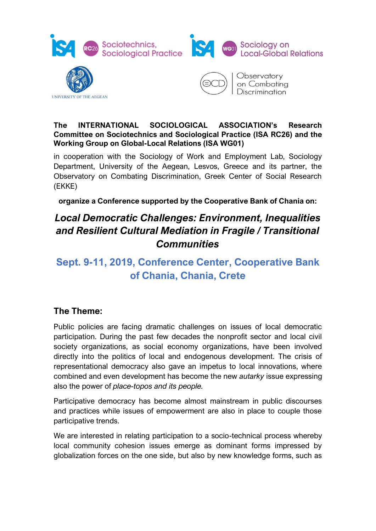





Observatory on Combatina Discrimination

#### **The INTERNATIONAL SOCIOLOGICAL ASSOCIATION's Research Committee on Sociotechnics and Sociological Practice (ISA RC26) and the Working Group on Global-Local Relations (ISA WG01)**

in cooperation with the Sociology of Work and Employment Lab, Sociology Department, University of the Aegean, Lesvos, Greece and its partner, the Observatory on Combating Discrimination, Greek Center of Social Research (EKKE)

**organize a Conference supported by the Cooperative Bank of Chania on:**

# *Local Democratic Challenges: Environment, Inequalities and Resilient Cultural Mediation in Fragile / Transitional Communities*

## **Sept. 9-11, 2019, Conference Center, Cooperative Bank of Chania, Chania, Crete**

## **The Theme:**

Public policies are facing dramatic challenges on issues of local democratic participation. During the past few decades the nonprofit sector and local civil society organizations, as social economy organizations, have been involved directly into the politics of local and endogenous development. The crisis of representational democracy also gave an impetus to local innovations, where combined and even development has become the new *autarky* issue expressing also the power of *place-topos and its people.* 

Participative democracy has become almost mainstream in public discourses and practices while issues of empowerment are also in place to couple those participative trends.

We are interested in relating participation to a socio-technical process whereby local community cohesion issues emerge as dominant forms impressed by globalization forces on the one side, but also by new knowledge forms, such as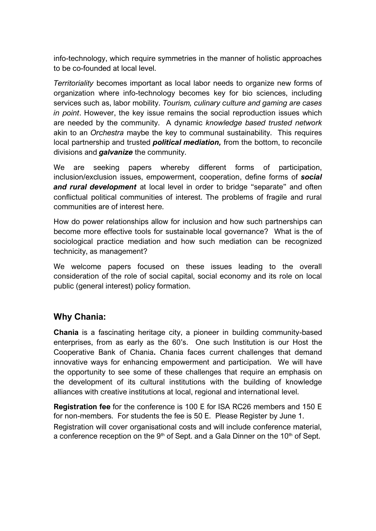info-technology, which require symmetries in the manner of holistic approaches to be co-founded at local level.

*Territoriality* becomes important as local labor needs to organize new forms of organization where info-technology becomes key for bio sciences, including services such as, labor mobility. *Tourism, culinary culture and gaming are cases in point*. However, the key issue remains the social reproduction issues which are needed by the community. A dynamic *knowledge based trusted network* akin to an *Orchestra* maybe the key to communal sustainability. This requires local partnership and trusted *political mediation,* from the bottom, to reconcile divisions and *galvanize* the community.

We are seeking papers whereby different forms of participation, inclusion/exclusion issues, empowerment, cooperation, define forms of *social and rural development* at local level in order to bridge "separate" and often conflictual political communities of interest. The problems of fragile and rural communities are of interest here.

How do power relationships allow for inclusion and how such partnerships can become more effective tools for sustainable local governance? What is the of sociological practice mediation and how such mediation can be recognized technicity, as management?

We welcome papers focused on these issues leading to the overall consideration of the role of social capital, social economy and its role on local public (general interest) policy formation.

### **Why Chania:**

**Chania** is a fascinating heritage city, a pioneer in building community-based enterprises, from as early as the 60's. One such Institution is our Host the Cooperative Bank of Chania**.** Chania faces current challenges that demand innovative ways for enhancing empowerment and participation. We will have the opportunity to see some of these challenges that require an emphasis on the development of its cultural institutions with the building of knowledge alliances with creative institutions at local, regional and international level.

**Registration fee** for the conference is 100 E for ISA RC26 members and 150 E for non-members. For students the fee is 50 E. Please Register by June 1.

Registration will cover organisational costs and will include conference material, a conference reception on the  $9<sup>th</sup>$  of Sept. and a Gala Dinner on the 10<sup>th</sup> of Sept.